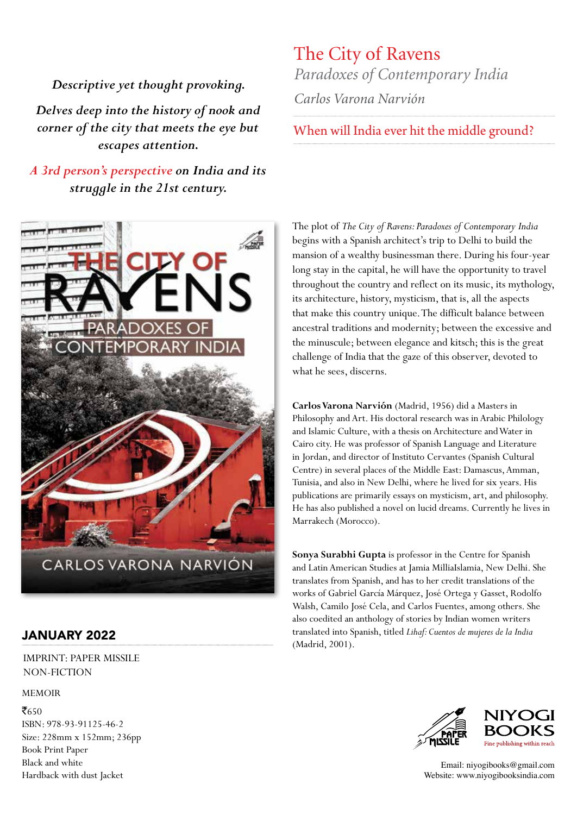*Descriptive yet thought provoking.*

*Delves deep into the history of nook and corner of the city that meets the eye but escapes attention.*

*A 3rd person's perspective on India and its struggle in the 21st century.* 



### JANUARY 2022

IMPRINT: PAPER MISSILE NON-FICTION

#### MEMOIR

 $\bar{5650}$ ISBN: 978-93-91125-46-2 Size: 228mm x 152mm; 236pp Book Print Paper Black and white Hardback with dust Jacket

## The City of Ravens *Paradoxes of Contemporary India*

*Carlos Varona Narvión* 

## When will India ever hit the middle ground?

The plot of *The City of Ravens: Paradoxes of Contemporary India* begins with a Spanish architect's trip to Delhi to build the mansion of a wealthy businessman there. During his four-year long stay in the capital, he will have the opportunity to travel throughout the country and reflect on its music, its mythology, its architecture, history, mysticism, that is, all the aspects that make this country unique. The difficult balance between ancestral traditions and modernity; between the excessive and the minuscule; between elegance and kitsch; this is the great challenge of India that the gaze of this observer, devoted to what he sees, discerns.

**Carlos Varona Narvión** (Madrid, 1956) did a Masters in Philosophy and Art. His doctoral research was in Arabic Philology and Islamic Culture, with a thesis on Architecture and Water in Cairo city. He was professor of Spanish Language and Literature in Jordan, and director of Instituto Cervantes (Spanish Cultural Centre) in several places of the Middle East: Damascus, Amman, Tunisia, and also in New Delhi, where he lived for six years. His publications are primarily essays on mysticism, art, and philosophy. He has also published a novel on lucid dreams. Currently he lives in Marrakech (Morocco).

**Sonya Surabhi Gupta** is professor in the Centre for Spanish and Latin American Studies at Jamia MilliaIslamia, New Delhi. She translates from Spanish, and has to her credit translations of the works of Gabriel García Márquez, José Ortega y Gasset, Rodolfo Walsh, Camilo José Cela, and Carlos Fuentes, among others. She also coedited an anthology of stories by Indian women writers translated into Spanish, titled *Lihaf: Cuentos de mujeres de la India* (Madrid, 2001).





Email: niyogibooks@gmail.com Website: www.niyogibooksindia.com